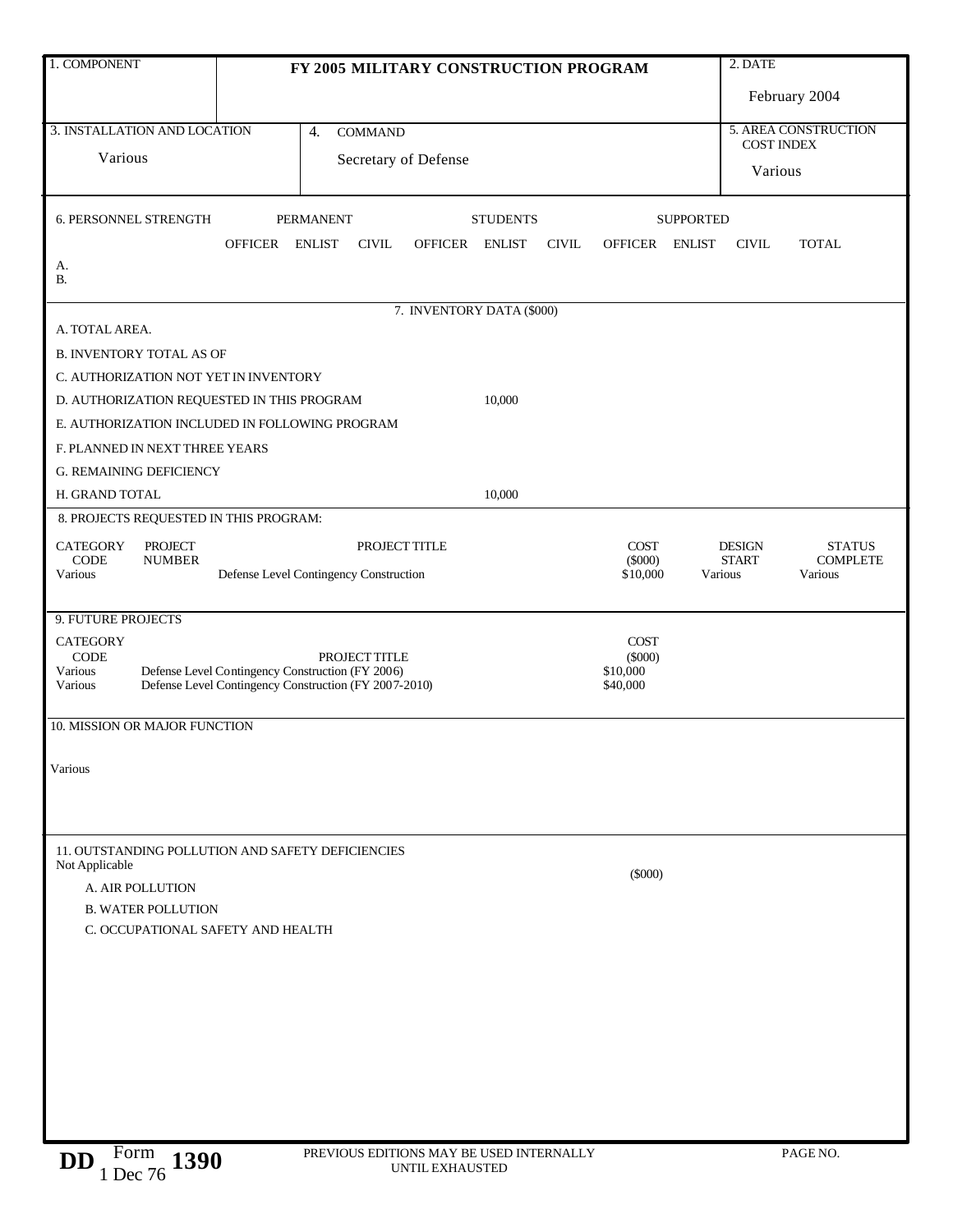| 1. COMPONENT                                                                 | FY 2005 MILITARY CONSTRUCTION PROGRAM  |                                                         |               |                           |               |              | 2. DATE                  |                   |                                                                   |               |
|------------------------------------------------------------------------------|----------------------------------------|---------------------------------------------------------|---------------|---------------------------|---------------|--------------|--------------------------|-------------------|-------------------------------------------------------------------|---------------|
|                                                                              |                                        |                                                         |               |                           |               |              |                          |                   |                                                                   | February 2004 |
| 3. INSTALLATION AND LOCATION                                                 | $\overline{4}$ .<br><b>COMMAND</b>     |                                                         |               |                           |               |              |                          |                   | 5. AREA CONSTRUCTION                                              |               |
| Various                                                                      | Secretary of Defense                   |                                                         |               |                           |               |              |                          | <b>COST INDEX</b> |                                                                   |               |
|                                                                              |                                        |                                                         |               |                           |               |              |                          |                   | Various                                                           |               |
| 6. PERSONNEL STRENGTH                                                        |                                        | <b>STUDENTS</b><br><b>PERMANENT</b><br><b>SUPPORTED</b> |               |                           |               |              |                          |                   |                                                                   |               |
|                                                                              | OFFICER ENLIST                         |                                                         | <b>CIVIL</b>  | <b>OFFICER</b>            | <b>ENLIST</b> | <b>CIVIL</b> | <b>OFFICER</b>           | <b>ENLIST</b>     | <b>CIVIL</b>                                                      | <b>TOTAL</b>  |
| А.<br><b>B.</b>                                                              |                                        |                                                         |               |                           |               |              |                          |                   |                                                                   |               |
|                                                                              |                                        |                                                         |               | 7. INVENTORY DATA (\$000) |               |              |                          |                   |                                                                   |               |
| A. TOTAL AREA.                                                               |                                        |                                                         |               |                           |               |              |                          |                   |                                                                   |               |
|                                                                              | <b>B. INVENTORY TOTAL AS OF</b>        |                                                         |               |                           |               |              |                          |                   |                                                                   |               |
| C. AUTHORIZATION NOT YET IN INVENTORY                                        |                                        |                                                         |               |                           |               |              |                          |                   |                                                                   |               |
| D. AUTHORIZATION REQUESTED IN THIS PROGRAM                                   |                                        |                                                         |               |                           | 10,000        |              |                          |                   |                                                                   |               |
| E. AUTHORIZATION INCLUDED IN FOLLOWING PROGRAM                               |                                        |                                                         |               |                           |               |              |                          |                   |                                                                   |               |
| F. PLANNED IN NEXT THREE YEARS                                               |                                        |                                                         |               |                           |               |              |                          |                   |                                                                   |               |
| <b>G. REMAINING DEFICIENCY</b>                                               |                                        |                                                         |               |                           |               |              |                          |                   |                                                                   |               |
| H. GRAND TOTAL                                                               |                                        |                                                         |               |                           | 10,000        |              |                          |                   |                                                                   |               |
| 8. PROJECTS REQUESTED IN THIS PROGRAM:                                       |                                        |                                                         |               |                           |               |              |                          |                   |                                                                   |               |
| <b>CATEGORY</b><br><b>PROJECT</b><br><b>CODE</b><br><b>NUMBER</b>            | PROJECT TITLE                          |                                                         |               |                           |               |              | <b>COST</b><br>$(\$000)$ |                   | <b>DESIGN</b><br><b>STATUS</b><br><b>COMPLETE</b><br><b>START</b> |               |
| Various                                                                      | Defense Level Contingency Construction |                                                         |               |                           |               |              | \$10,000                 |                   | Various                                                           | Various       |
|                                                                              |                                        |                                                         |               |                           |               |              |                          |                   |                                                                   |               |
| 9. FUTURE PROJECTS                                                           |                                        |                                                         |               |                           |               |              |                          |                   |                                                                   |               |
| <b>CATEGORY</b><br><b>CODE</b>                                               |                                        |                                                         | PROJECT TITLE |                           |               |              | COST<br>$(\$000)$        |                   |                                                                   |               |
| Various<br>Defense Level Contingency Construction (FY 2006)<br>\$10,000      |                                        |                                                         |               |                           |               |              |                          |                   |                                                                   |               |
| Defense Level Contingency Construction (FY 2007-2010)<br>Various<br>\$40,000 |                                        |                                                         |               |                           |               |              |                          |                   |                                                                   |               |
| 10. MISSION OR MAJOR FUNCTION                                                |                                        |                                                         |               |                           |               |              |                          |                   |                                                                   |               |
|                                                                              |                                        |                                                         |               |                           |               |              |                          |                   |                                                                   |               |
| Various                                                                      |                                        |                                                         |               |                           |               |              |                          |                   |                                                                   |               |
|                                                                              |                                        |                                                         |               |                           |               |              |                          |                   |                                                                   |               |
|                                                                              |                                        |                                                         |               |                           |               |              |                          |                   |                                                                   |               |
| 11. OUTSTANDING POLLUTION AND SAFETY DEFICIENCIES                            |                                        |                                                         |               |                           |               |              |                          |                   |                                                                   |               |
| Not Applicable                                                               |                                        |                                                         |               |                           |               |              | $(\$000)$                |                   |                                                                   |               |
| A. AIR POLLUTION<br><b>B. WATER POLLUTION</b>                                |                                        |                                                         |               |                           |               |              |                          |                   |                                                                   |               |
| C. OCCUPATIONAL SAFETY AND HEALTH                                            |                                        |                                                         |               |                           |               |              |                          |                   |                                                                   |               |
|                                                                              |                                        |                                                         |               |                           |               |              |                          |                   |                                                                   |               |
|                                                                              |                                        |                                                         |               |                           |               |              |                          |                   |                                                                   |               |
|                                                                              |                                        |                                                         |               |                           |               |              |                          |                   |                                                                   |               |
|                                                                              |                                        |                                                         |               |                           |               |              |                          |                   |                                                                   |               |
|                                                                              |                                        |                                                         |               |                           |               |              |                          |                   |                                                                   |               |
|                                                                              |                                        |                                                         |               |                           |               |              |                          |                   |                                                                   |               |
|                                                                              |                                        |                                                         |               |                           |               |              |                          |                   |                                                                   |               |
|                                                                              |                                        |                                                         |               |                           |               |              |                          |                   |                                                                   |               |
|                                                                              |                                        |                                                         |               |                           |               |              |                          |                   |                                                                   |               |